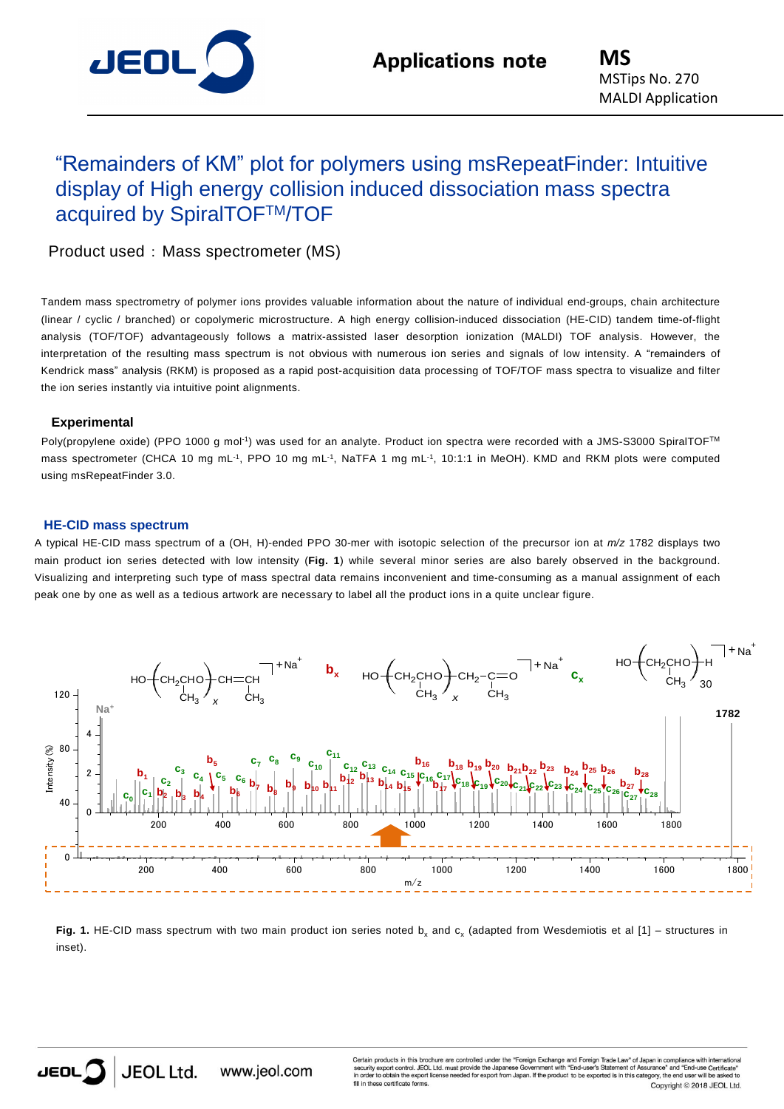

# "Remainders of KM" plot for polymers using msRepeatFinder: Intuitive display of High energy collision induced dissociation mass spectra acquired by SpiralTOFTM/TOF

Product used : Mass spectrometer (MS)

Tandem mass spectrometry of polymer ions provides valuable information about the nature of individual end-groups, chain architecture (linear / cyclic / branched) or copolymeric microstructure. A high energy collision-induced dissociation (HE-CID) tandem time-of-flight analysis (TOF/TOF) advantageously follows a matrix-assisted laser desorption ionization (MALDI) TOF analysis. However, the interpretation of the resulting mass spectrum is not obvious with numerous ion series and signals of low intensity. A "remainders of Kendrick mass" analysis (RKM) is proposed as a rapid post-acquisition data processing of TOF/TOF mass spectra to visualize and filter the ion series instantly via intuitive point alignments.

## **Experimental**

Poly(propylene oxide) (PPO 1000 g mol<sup>-1</sup>) was used for an analyte. Product ion spectra were recorded with a JMS-S3000 SpiralTOF™ mass spectrometer (CHCA 10 mg mL<sup>-1</sup>, PPO 10 mg mL<sup>-1</sup>, NaTFA 1 mg mL<sup>-1</sup>, 10:1:1 in MeOH). KMD and RKM plots were computed using msRepeatFinder 3.0.

## **HE-CID mass spectrum**

A typical HE-CID mass spectrum of a (OH, H)-ended PPO 30-mer with isotopic selection of the precursor ion at *m/z* 1782 displays two main product ion series detected with low intensity (**Fig. 1**) while several minor series are also barely observed in the background. Visualizing and interpreting such type of mass spectral data remains inconvenient and time-consuming as a manual assignment of each peak one by one as well as a tedious artwork are necessary to label all the product ions in a quite unclear figure.



**Fig. 1.** HE-CID mass spectrum with two main product ion series noted  $b_x$  and  $c_x$  (adapted from Wesdemiotis et al [1] – structures in inset).



Certain products in this brochure are controlled under the "Foreign Exchange and Foreign Trade Law" of Japan in control JFOL Ltd must provide the Japanese Government with "Ford-user's Statement of Assurance" unity export control. JEOL Ltd. must provide the Japanese Governme<br>der to obtain the export license needed for export from Japan. If the and "End attention of researches and Life ass Co se certificate forms Copyright © 2018 JEOL Ltd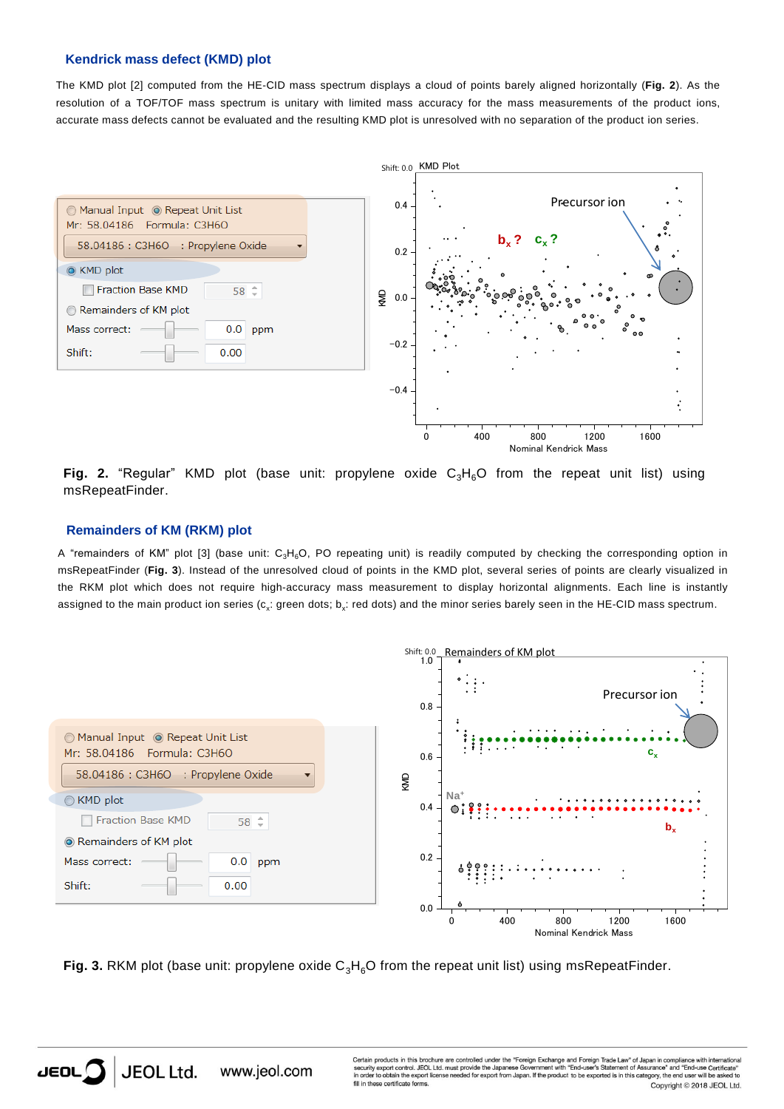#### **Kendrick mass defect (KMD) plot**

The KMD plot [2] computed from the HE-CID mass spectrum displays a cloud of points barely aligned horizontally (**Fig. 2**). As the resolution of a TOF/TOF mass spectrum is unitary with limited mass accuracy for the mass measurements of the product ions, accurate mass defects cannot be evaluated and the resulting KMD plot is unresolved with no separation of the product ion series.



Fig. 2. "Regular" KMD plot (base unit: propylene oxide C<sub>3</sub>H<sub>6</sub>O from the repeat unit list) using msRepeatFinder.

## **Remainders of KM (RKM) plot**

A "remainders of KM" plot [3] (base unit:  $C_3H_6O$ , PO repeating unit) is readily computed by checking the corresponding option in msRepeatFinder (**Fig. 3**). Instead of the unresolved cloud of points in the KMD plot, several series of points are clearly visualized in the RKM plot which does not require high-accuracy mass measurement to display horizontal alignments. Each line is instantly assigned to the main product ion series (c<sub>x</sub>: green dots; b<sub>x</sub>: red dots) and the minor series barely seen in the HE-CID mass spectrum.



Fig. 3. RKM plot (base unit: propylene oxide C<sub>3</sub>H<sub>6</sub>O from the repeat unit list) using msRepeatFinder.

Certain products in this brochure are controlled under the "Foreign Exchange and Foreign Trade Law" of Japan in con<br>security export control. JEOL Ltd. must provide the Japanese Government with "End-user's Statement of Assu Security export control. JEOL Ltd. must provide the Japanese Governmer<br>in order to obtain the export license needed for export from Japan. If the p and "Fnd-use ed is in this category, the end user will be pduct to be ex se certificate forms Copyright @ 2018 JEOL Ltd